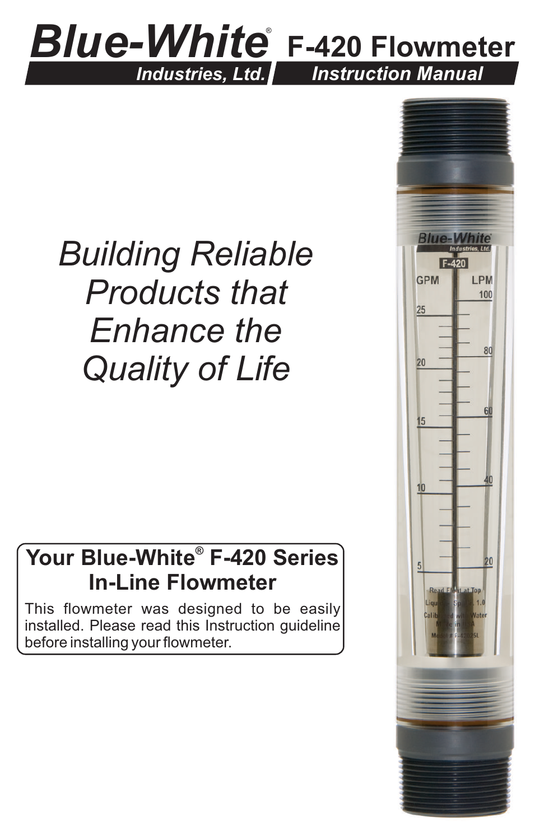## *Blue-White* ®  **F-420 Flowmeter** *Industries, Ltd. Instruction Manual*

## *Building Reliable Products that Enhance the Quality of Life*

## **® Your Blue-White F-420 Series In-Line Flowmeter**

This flowmeter was designed to be easily installed. Please read this Instruction guideline before installing your flowmeter.

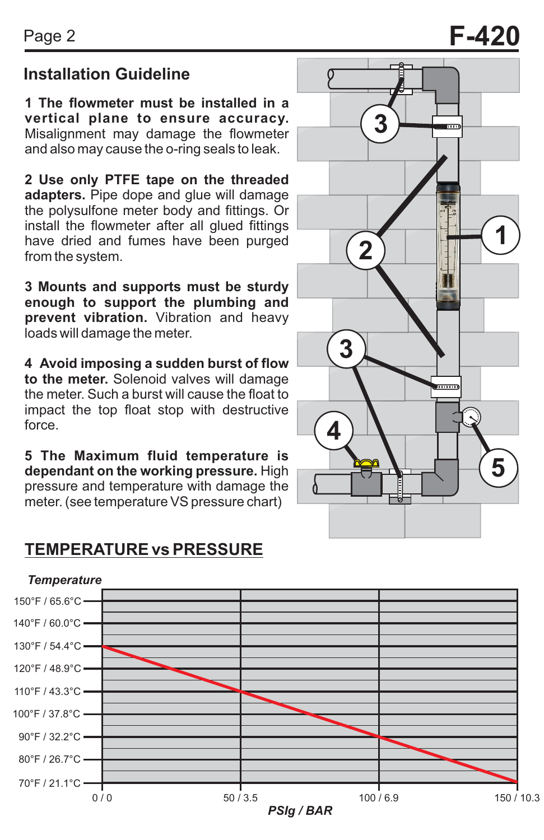## **Installation Guideline**

**1 The flowmeter must be installed in a vertical plane to ensure accuracy.**  Misalignment may damage the flowmeter and also may cause the o-ring seals to leak.

**2 Use only PTFE tape on the threaded adapters.** Pipe dope and glue will damage the polysulfone meter body and fittings. Or install the flowmeter after all glued fittings have dried and fumes have been purged from the system.

**3 Mounts and supports must be sturdy enough to support the plumbing and prevent vibration.** Vibration and heavy loads will damage the meter.

**4 Avoid imposing a sudden burst of flow to the meter.** Solenoid valves will damage the meter. Such a burst will cause the float to impact the top float stop with destructive force.

**5 The Maximum fluid temperature is dependant on the working pressure.** High pressure and temperature with damage the meter. (see temperature VS pressure chart)

### **TEMPERATURE vs PRESSURE**



# Page 2 **F-420**

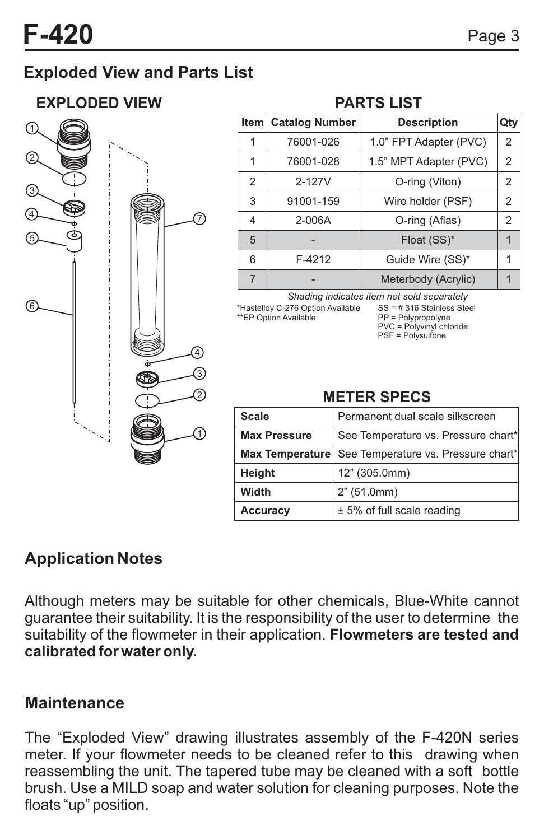## **Exploded View and Parts List**

### **EXPLODED VIEW PARTS LIST**



#### **Item Catalog Number Description Qty** 1 1  $\overline{2}$ 3 5 6 7 76001-026 76001-028 1.0" FPT Adapter (PVC) 1.5" MPT Adapter (PVC) 2 2 2-127V | O-ring (Viton) | 2 91001-159 | Wire holder (PSF) | 2 Float  $(SS)^*$  | 1  $F-4212$  Guide Wire  $(SS)^*$  1 Meterbody (Acrylic)  $\begin{vmatrix} 1 \\ 1 \end{vmatrix}$ 4 2-006A O-ring (Aflas) 2

*Shading indicates item not sold separately*

\*Hastelloy C-276 Option Available \*\*EP Option Available

SS = # 316 Stainless Steel PP = Polypropolyne PVC = Polyvinyl chloride PSF = Polysulfone

### **METER SPECS**

| <b>Scale</b>        | Permanent dual scale silkscreen     |
|---------------------|-------------------------------------|
| <b>Max Pressure</b> | See Temperature vs. Pressure chart* |
| Max Temperature     | See Temperature vs. Pressure chart* |
| Height              | 12" (305.0mm)                       |
| Width               | 2" (51.0mm)                         |
| Accuracy            | $± 5%$ of full scale reading        |

## **Application Notes**

Although meters may be suitable for other chemicals, Blue-White cannot guarantee their suitability. It is the responsibility of the user to determine the suitability of the flowmeter in their application. **Flowmeters are tested and calibrated for water only.**

### **Maintenance**

The "Exploded View" drawing illustrates assembly of the F-420N series meter. If your flowmeter needs to be cleaned refer to this drawing when reassembling the unit. The tapered tube may be cleaned with a soft bottle brush. Use a MILD soap and water solution for cleaning purposes. Note the floats "up" position.